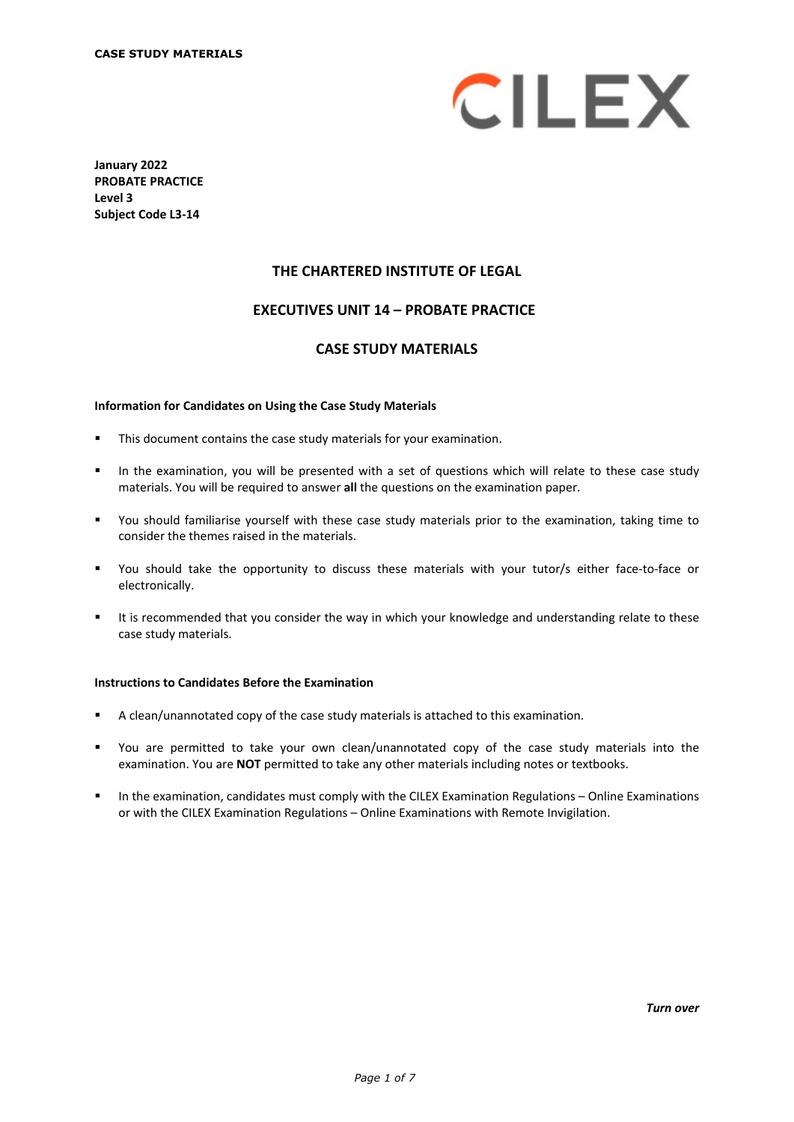

**January 2022 PROBATE PRACTICE Level 3 Subject Code L3-14**

# **THE CHARTERED INSTITUTE OF LEGAL**

## **EXECUTIVES UNIT 14 – PROBATE PRACTICE\***

#### **CASE STUDY MATERIALS**

#### **Information for Candidates on Using the Case Study Materials**

- This document contains the case study materials for your examination.
- In the examination, you will be presented with a set of questions which will relate to these case study materials. You will be required to answer **all** the questions on the examination paper.
- You should familiarise yourself with these case study materials prior to the examination, taking time to consider the themes raised in the materials.
- You should take the opportunity to discuss these materials with your tutor/s either face-to-face or electronically.
- It is recommended that you consider the way in which your knowledge and understanding relate to these case study materials.

#### **Instructions to Candidates Before the Examination**

- A clean/unannotated copy of the case study materials is attached to this examination.
- You are permitted to take your own clean/unannotated copy of the case study materials into the examination. You are **NOT** permitted to take any other materials including notes or textbooks.
- In the examination, candidates must comply with the CILEX Examination Regulations Online Examinations or with the CILEX Examination Regulations – Online Examinations with Remote Invigilation.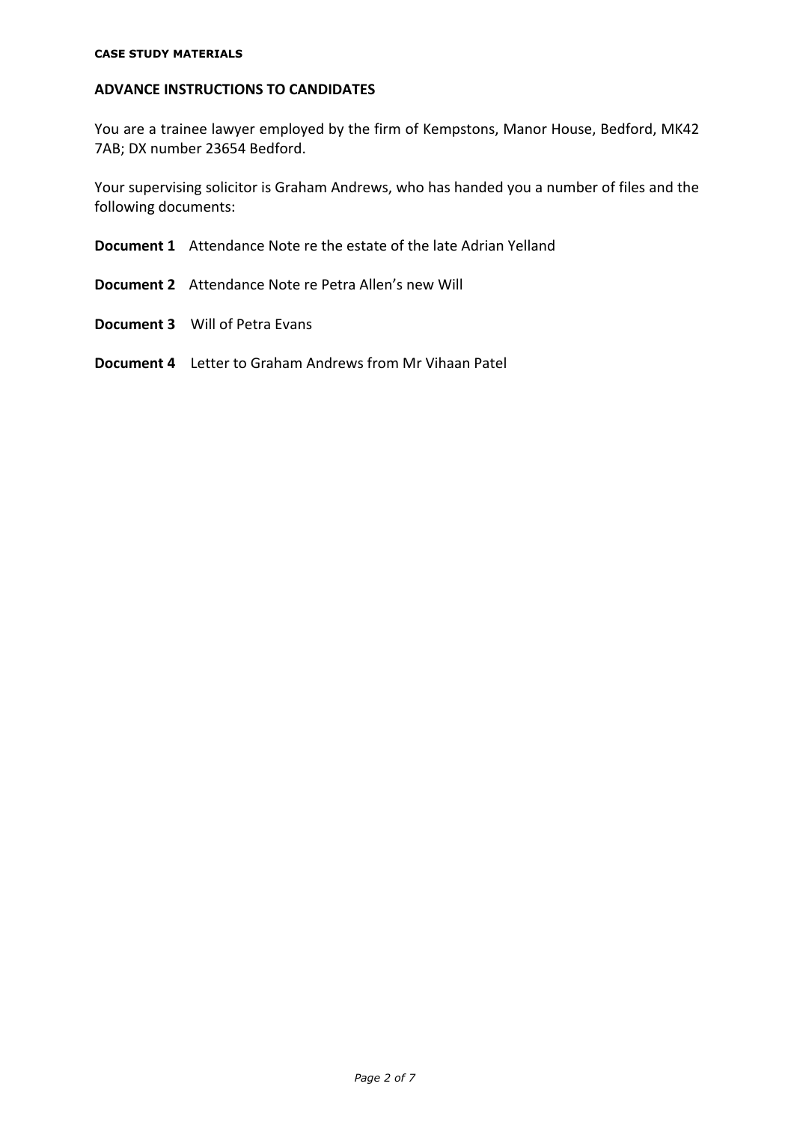# **ADVANCE INSTRUCTIONS TO CANDIDATES**

You are a trainee lawyer employed by the firm of Kempstons, Manor House, Bedford, MK42 7AB; DX number 23654 Bedford.

Your supervising solicitor is Graham Andrews, who has handed you a number of files and the following documents:

- **Document 1** Attendance Note re the estate of the late Adrian Yelland
- **Document 2** Attendance Note re Petra Allen's new Will
- **Document 3** Will of Petra Evans
- **Document 4** Letter to Graham Andrews from Mr Vihaan Patel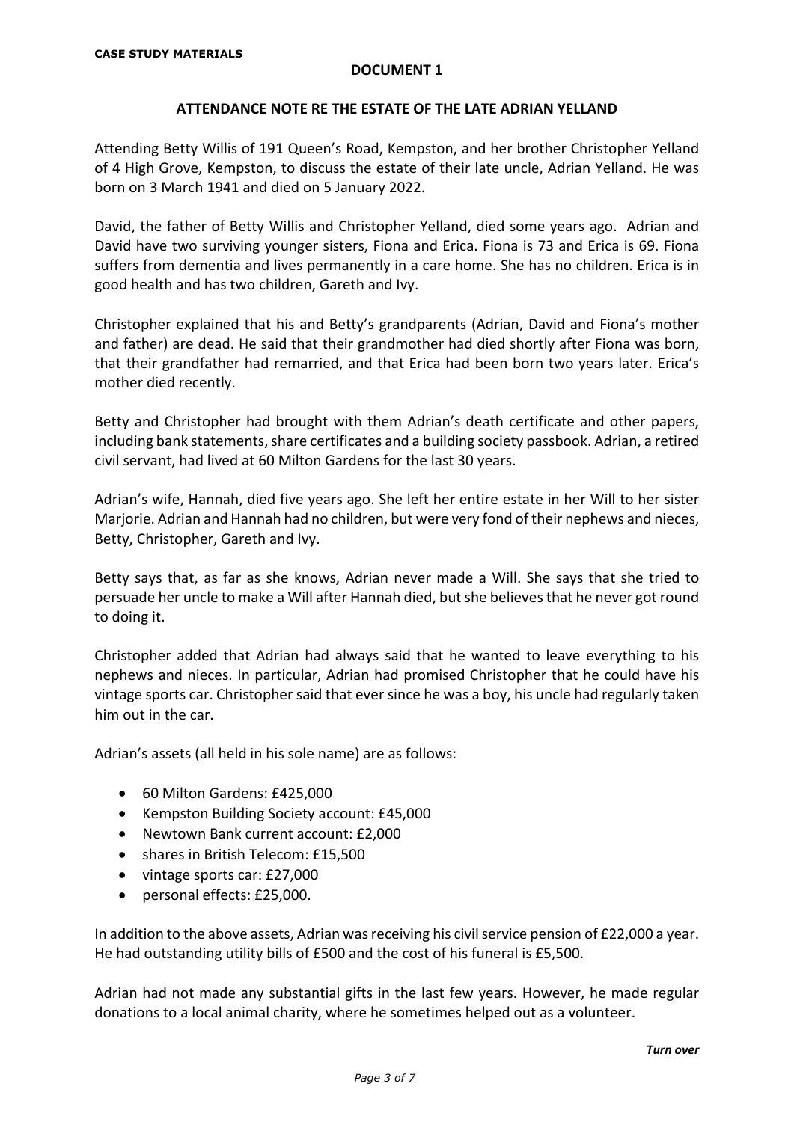## **ATTENDANCE NOTE RE THE ESTATE OF THE LATE ADRIAN YELLAND**

Attending Betty Willis of 191 Queen's Road, Kempston, and her brother Christopher Yelland of 4 High Grove, Kempston, to discuss the estate of their late uncle, Adrian Yelland. He was born on 3 March 1941 and died on 5 January 2022.

David, the father of Betty Willis and Christopher Yelland, died some years ago. Adrian and David have two surviving younger sisters, Fiona and Erica. Fiona is 73 and Erica is 69. Fiona suffers from dementia and lives permanently in a care home. She has no children. Erica is in good health and has two children, Gareth and Ivy.

Christopher explained that his and Betty's grandparents (Adrian, David and Fiona's mother and father) are dead. He said that their grandmother had died shortly after Fiona was born, that their grandfather had remarried, and that Erica had been born two years later. Erica's mother died recently.

Betty and Christopher had brought with them Adrian's death certificate and other papers, including bank statements, share certificates and a building society passbook. Adrian, a retired civil servant, had lived at 60 Milton Gardens for the last 30 years.

Adrian's wife, Hannah, died five years ago. She left her entire estate in her Will to her sister Marjorie. Adrian and Hannah had no children, but were very fond of their nephews and nieces, Betty, Christopher, Gareth and Ivy.

Betty says that, as far as she knows, Adrian never made a Will. She says that she tried to persuade her uncle to make a Will after Hannah died, but she believes that he never got round to doing it.

Christopher added that Adrian had always said that he wanted to leave everything to his nephews and nieces. In particular, Adrian had promised Christopher that he could have his vintage sports car. Christopher said that ever since he was a boy, his uncle had regularly taken him out in the car.

Adrian's assets (all held in his sole name) are as follows:

- 60 Milton Gardens: £425,000
- Kempston Building Society account: £45,000
- Newtown Bank current account: £2,000
- shares in British Telecom: £15,500
- vintage sports car: £27,000
- personal effects: £25,000.

In addition to the above assets, Adrian was receiving his civil service pension of £22,000 a year. He had outstanding utility bills of £500 and the cost of his funeral is £5,500.

Adrian had not made any substantial gifts in the last few years. However, he made regular donations to a local animal charity, where he sometimes helped out as a volunteer.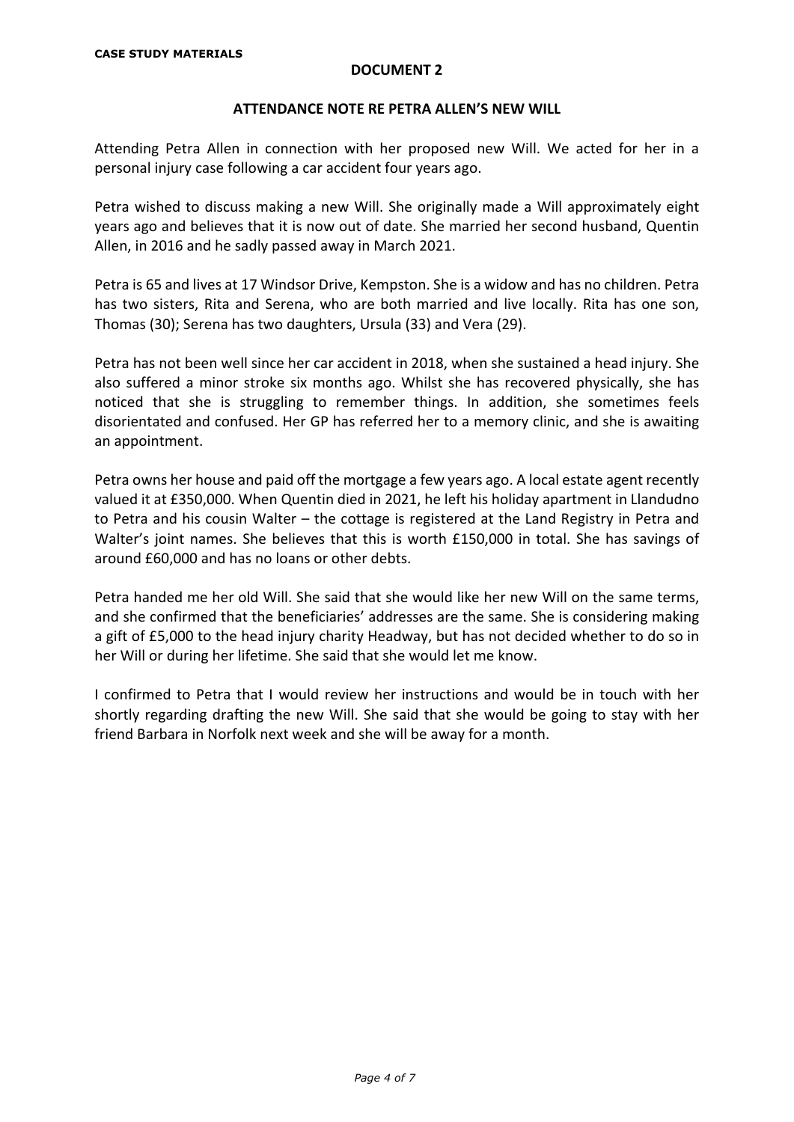## **ATTENDANCE NOTE RE PETRA ALLEN'S NEW WILL**

Attending Petra Allen in connection with her proposed new Will. We acted for her in a personal injury case following a car accident four years ago.

Petra wished to discuss making a new Will. She originally made a Will approximately eight years ago and believes that it is now out of date. She married her second husband, Quentin Allen, in 2016 and he sadly passed away in March 2021.

Petra is 65 and lives at 17 Windsor Drive, Kempston. She is a widow and has no children. Petra has two sisters, Rita and Serena, who are both married and live locally. Rita has one son, Thomas (30); Serena has two daughters, Ursula (33) and Vera (29).

Petra has not been well since her car accident in 2018, when she sustained a head injury. She also suffered a minor stroke six months ago. Whilst she has recovered physically, she has noticed that she is struggling to remember things. In addition, she sometimes feels disorientated and confused. Her GP has referred her to a memory clinic, and she is awaiting an appointment.

Petra owns her house and paid off the mortgage a few years ago. A local estate agent recently valued it at £350,000. When Quentin died in 2021, he left his holiday apartment in Llandudno to Petra and his cousin Walter – the cottage is registered at the Land Registry in Petra and Walter's joint names. She believes that this is worth £150,000 in total. She has savings of around £60,000 and has no loans or other debts.

Petra handed me her old Will. She said that she would like her new Will on the same terms, and she confirmed that the beneficiaries' addresses are the same. She is considering making a gift of £5,000 to the head injury charity Headway, but has not decided whether to do so in her Will or during her lifetime. She said that she would let me know.

I confirmed to Petra that I would review her instructions and would be in touch with her shortly regarding drafting the new Will. She said that she would be going to stay with her friend Barbara in Norfolk next week and she will be away for a month.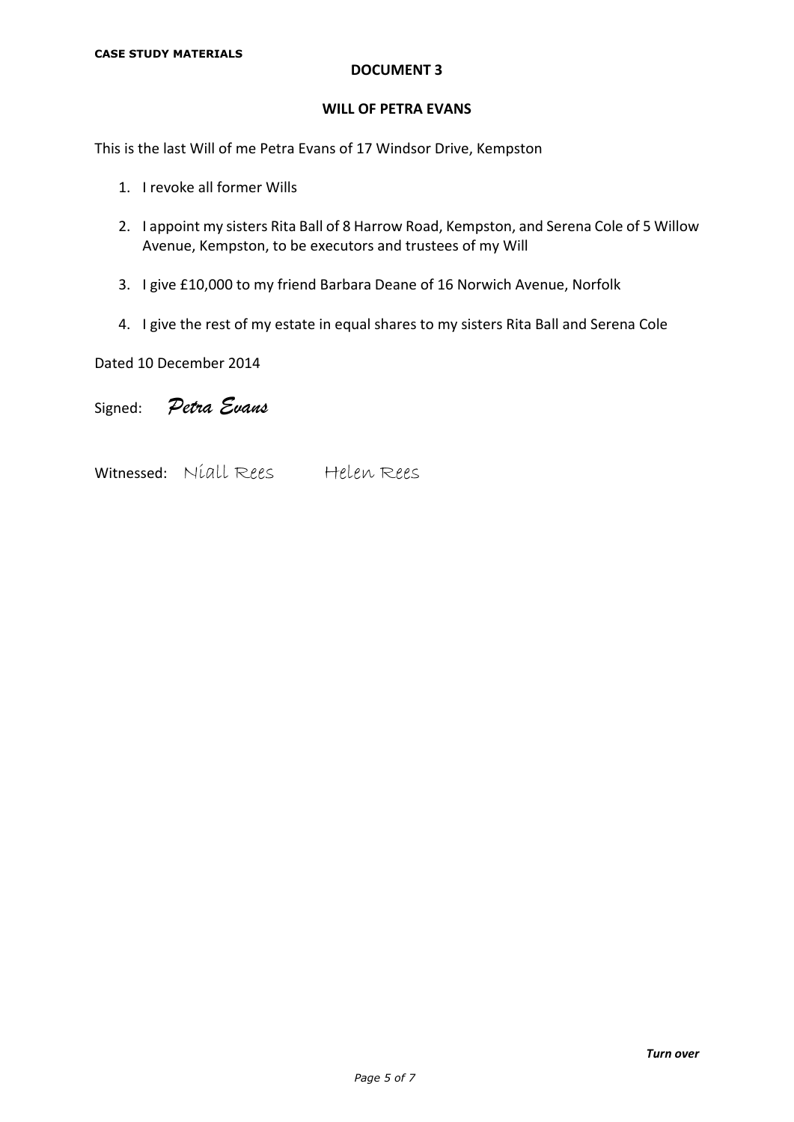#### **WILL OF PETRA EVANS**

This is the last Will of me Petra Evans of 17 Windsor Drive, Kempston

- 1. I revoke all former Wills
- 2. I appoint my sisters Rita Ball of 8 Harrow Road, Kempston, and Serena Cole of 5 Willow Avenue, Kempston, to be executors and trustees of my Will
- 3. I give £10,000 to my friend Barbara Deane of 16 Norwich Avenue, Norfolk
- 4. I give the rest of my estate in equal shares to my sisters Rita Ball and Serena Cole

Dated 10 December 2014

Signed: *Petra Evans*

Witnessed: Niall Rees Helen Rees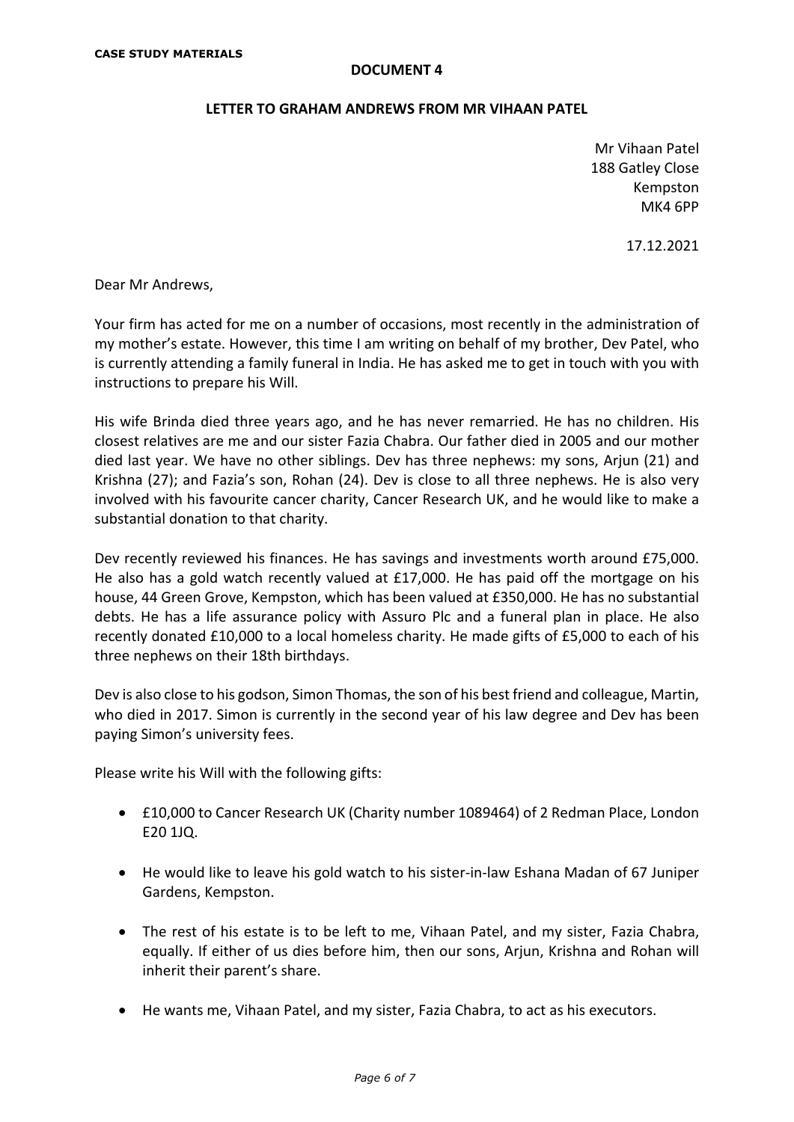#### **LETTER TO GRAHAM ANDREWS FROM MR VIHAAN PATEL**

Mr Vihaan Patel 188 Gatley Close Kempston MK4 6PP

17.12.2021

Dear Mr Andrews,

Your firm has acted for me on a number of occasions, most recently in the administration of my mother's estate. However, this time I am writing on behalf of my brother, Dev Patel, who is currently attending a family funeral in India. He has asked me to get in touch with you with instructions to prepare his Will.

His wife Brinda died three years ago, and he has never remarried. He has no children. His closest relatives are me and our sister Fazia Chabra. Our father died in 2005 and our mother died last year. We have no other siblings. Dev has three nephews: my sons, Arjun (21) and Krishna (27); and Fazia's son, Rohan (24). Dev is close to all three nephews. He is also very involved with his favourite cancer charity, Cancer Research UK, and he would like to make a substantial donation to that charity.

Dev recently reviewed his finances. He has savings and investments worth around £75,000. He also has a gold watch recently valued at £17,000. He has paid off the mortgage on his house, 44 Green Grove, Kempston, which has been valued at £350,000. He has no substantial debts. He has a life assurance policy with Assuro Plc and a funeral plan in place. He also recently donated £10,000 to a local homeless charity. He made gifts of £5,000 to each of his three nephews on their 18th birthdays.

Dev is also close to his godson, Simon Thomas, the son of his best friend and colleague, Martin, who died in 2017. Simon is currently in the second year of his law degree and Dev has been paying Simon's university fees.

Please write his Will with the following gifts:

- £10,000 to Cancer Research UK (Charity number 1089464) of 2 Redman Place, London E20 1JQ.
- He would like to leave his gold watch to his sister-in-law Eshana Madan of 67 Juniper Gardens, Kempston.
- The rest of his estate is to be left to me, Vihaan Patel, and my sister, Fazia Chabra, equally. If either of us dies before him, then our sons, Arjun, Krishna and Rohan will inherit their parent's share.
- He wants me, Vihaan Patel, and my sister, Fazia Chabra, to act as his executors.